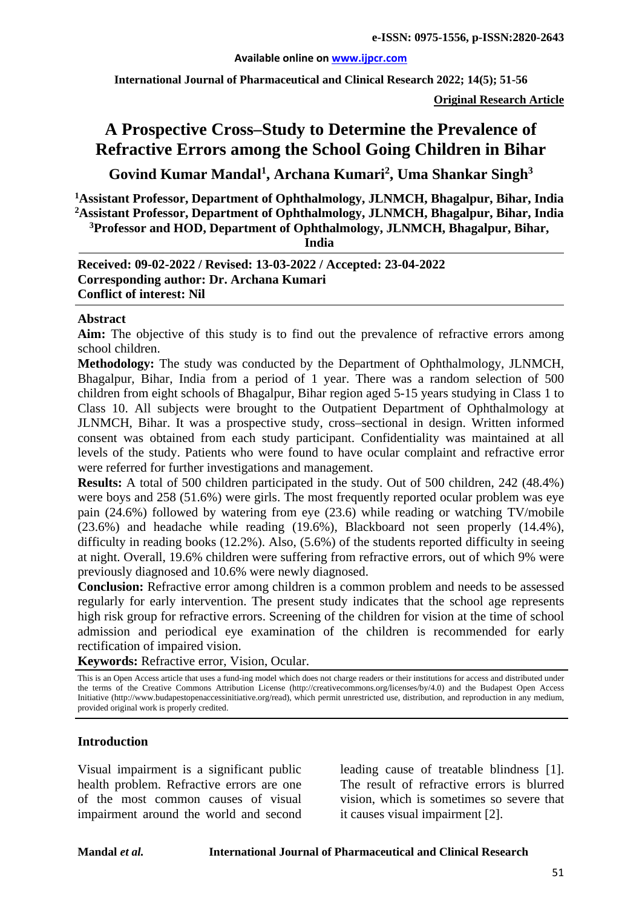#### **Available online on [www.ijpcr.com](http://www.ijpcr.com/)**

**International Journal of Pharmaceutical and Clinical Research 2022; 14(5); 51-56**

**Original Research Article**

# **A Prospective Cross–Study to Determine the Prevalence of Refractive Errors among the School Going Children in Bihar**

**Govind Kumar Mandal1 , Archana Kumari<sup>2</sup> , Uma Shankar Singh3**

**1 Assistant Professor, Department of Ophthalmology, JLNMCH, Bhagalpur, Bihar, India 2 Assistant Professor, Department of Ophthalmology, JLNMCH, Bhagalpur, Bihar, India 3 Professor and HOD, Department of Ophthalmology, JLNMCH, Bhagalpur, Bihar,**

**India**

**Received: 09-02-2022 / Revised: 13-03-2022 / Accepted: 23-04-2022 Corresponding author: Dr. Archana Kumari Conflict of interest: Nil**

#### **Abstract**

**Aim:** The objective of this study is to find out the prevalence of refractive errors among school children.

**Methodology:** The study was conducted by the Department of Ophthalmology, JLNMCH, Bhagalpur, Bihar, India from a period of 1 year. There was a random selection of 500 children from eight schools of Bhagalpur, Bihar region aged 5-15 years studying in Class 1 to Class 10. All subjects were brought to the Outpatient Department of Ophthalmology at JLNMCH, Bihar. It was a prospective study, cross–sectional in design. Written informed consent was obtained from each study participant. Confidentiality was maintained at all levels of the study. Patients who were found to have ocular complaint and refractive error were referred for further investigations and management.

**Results:** A total of 500 children participated in the study. Out of 500 children, 242 (48.4%) were boys and 258 (51.6%) were girls. The most frequently reported ocular problem was eye pain (24.6%) followed by watering from eye (23.6) while reading or watching TV/mobile (23.6%) and headache while reading (19.6%), Blackboard not seen properly (14.4%), difficulty in reading books (12.2%). Also, (5.6%) of the students reported difficulty in seeing at night. Overall, 19.6% children were suffering from refractive errors, out of which 9% were previously diagnosed and 10.6% were newly diagnosed.

**Conclusion:** Refractive error among children is a common problem and needs to be assessed regularly for early intervention. The present study indicates that the school age represents high risk group for refractive errors. Screening of the children for vision at the time of school admission and periodical eye examination of the children is recommended for early rectification of impaired vision.

**Keywords:** Refractive error, Vision, Ocular.

This is an Open Access article that uses a fund-ing model which does not charge readers or their institutions for access and distributed under the terms of the Creative Commons Attribution License (http://creativecommons.org/licenses/by/4.0) and the Budapest Open Access Initiative (http://www.budapestopenaccessinitiative.org/read), which permit unrestricted use, distribution, and reproduction in any medium, provided original work is properly credited.

#### **Introduction**

Visual impairment is a significant public health problem. Refractive errors are one of the most common causes of visual impairment around the world and second leading cause of treatable blindness [1]. The result of refractive errors is blurred vision, which is sometimes so severe that it causes visual impairment [2].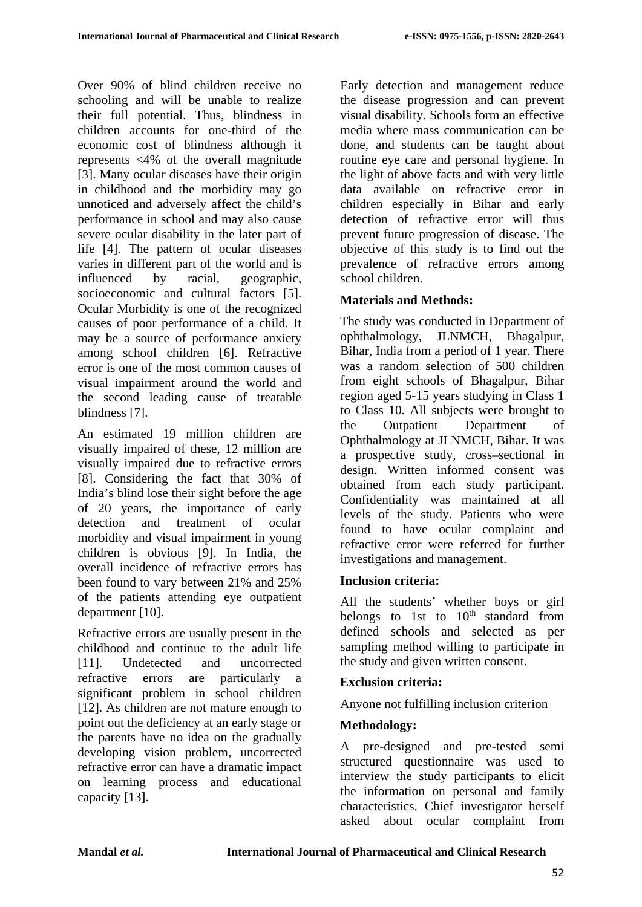Over 90% of blind children receive no schooling and will be unable to realize their full potential. Thus, blindness in children accounts for one-third of the economic cost of blindness although it represents <4% of the overall magnitude [3]. Many ocular diseases have their origin in childhood and the morbidity may go unnoticed and adversely affect the child's performance in school and may also cause severe ocular disability in the later part of life [4]. The pattern of ocular diseases varies in different part of the world and is influenced by racial, geographic, socioeconomic and cultural factors [5]. Ocular Morbidity is one of the recognized causes of poor performance of a child. It may be a source of performance anxiety among school children [6]. Refractive error is one of the most common causes of visual impairment around the world and the second leading cause of treatable blindness [7].

An estimated 19 million children are visually impaired of these, 12 million are visually impaired due to refractive errors [8]. Considering the fact that 30% of India's blind lose their sight before the age of 20 years, the importance of early detection and treatment of ocular morbidity and visual impairment in young children is obvious [9]. In India, the overall incidence of refractive errors has been found to vary between 21% and 25% of the patients attending eye outpatient department [10].

Refractive errors are usually present in the childhood and continue to the adult life [11]. Undetected and uncorrected refractive errors are particularly a significant problem in school children [12]. As children are not mature enough to point out the deficiency at an early stage or the parents have no idea on the gradually developing vision problem, uncorrected refractive error can have a dramatic impact on learning process and educational capacity [13].

Early detection and management reduce the disease progression and can prevent visual disability. Schools form an effective media where mass communication can be done, and students can be taught about routine eye care and personal hygiene. In the light of above facts and with very little data available on refractive error in children especially in Bihar and early detection of refractive error will thus prevent future progression of disease. The objective of this study is to find out the prevalence of refractive errors among school children.

# **Materials and Methods:**

The study was conducted in Department of ophthalmology, JLNMCH, Bhagalpur, Bihar, India from a period of 1 year. There was a random selection of 500 children from eight schools of Bhagalpur, Bihar region aged 5-15 years studying in Class 1 to Class 10. All subjects were brought to the Outpatient Department of Ophthalmology at JLNMCH, Bihar. It was a prospective study, cross–sectional in design. Written informed consent was obtained from each study participant. Confidentiality was maintained at all levels of the study. Patients who were found to have ocular complaint and refractive error were referred for further investigations and management.

# **Inclusion criteria:**

All the students' whether boys or girl belongs to 1st to  $10<sup>th</sup>$  standard from defined schools and selected as per sampling method willing to participate in the study and given written consent.

# **Exclusion criteria:**

Anyone not fulfilling inclusion criterion

# **Methodology:**

A pre-designed and pre-tested semi structured questionnaire was used to interview the study participants to elicit the information on personal and family characteristics. Chief investigator herself asked about ocular complaint from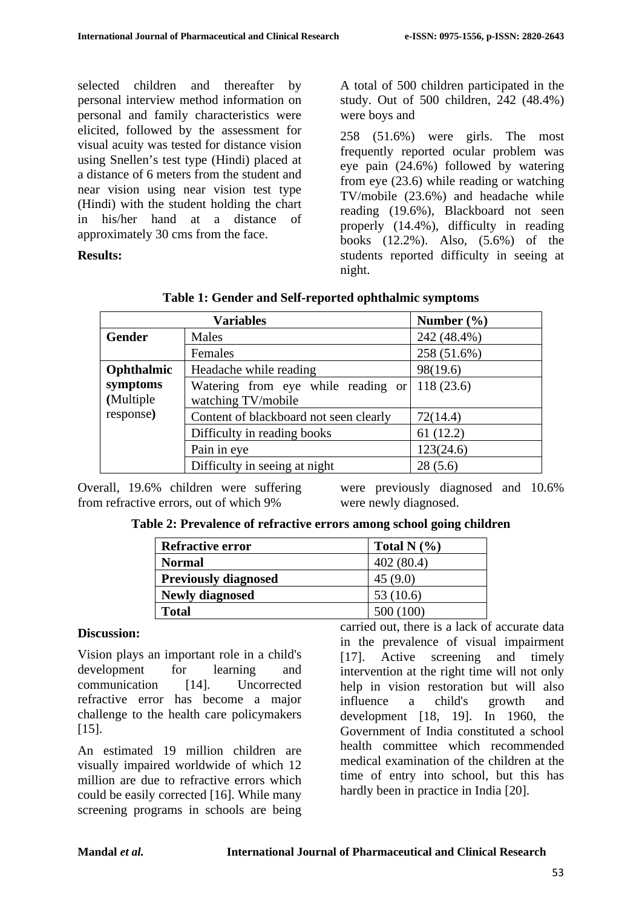selected children and thereafter by personal interview method information on personal and family characteristics were elicited, followed by the assessment for visual acuity was tested for distance vision using Snellen's test type (Hindi) placed at a distance of 6 meters from the student and near vision using near vision test type (Hindi) with the student holding the chart in his/her hand at a distance of approximately 30 cms from the face.

**Results:** 

A total of 500 children participated in the study. Out of 500 children, 242 (48.4%) were boys and

258 (51.6%) were girls. The most frequently reported ocular problem was eye pain (24.6%) followed by watering from eye (23.6) while reading or watching TV/mobile (23.6%) and headache while reading (19.6%), Blackboard not seen properly (14.4%), difficulty in reading books (12.2%). Also, (5.6%) of the students reported difficulty in seeing at night.

|               | <b>Variables</b>                       | Number $(\% )$ |
|---------------|----------------------------------------|----------------|
| <b>Gender</b> | Males                                  | 242 (48.4%)    |
|               | Females                                | 258 (51.6%)    |
| Ophthalmic    | Headache while reading                 | 98(19.6)       |
| symptoms      | Watering from eye while reading or     | 118(23.6)      |
| (Multiple     | watching TV/mobile                     |                |
| response)     | Content of blackboard not seen clearly | 72(14.4)       |
|               | Difficulty in reading books            | 61(12.2)       |
|               | Pain in eye                            | 123(24.6)      |
|               | Difficulty in seeing at night          | 28(5.6)        |

**Table 1: Gender and Self-reported ophthalmic symptoms**

Overall, 19.6% children were suffering were previously diagnosed and 10.6% from refractive errors, out of which 9%

were newly diagnosed.

| <b>Refractive error</b>     | Total N $(\% )$ |
|-----------------------------|-----------------|
| <b>Normal</b>               | 402(80.4)       |
| <b>Previously diagnosed</b> | 45(9.0)         |
| <b>Newly diagnosed</b>      | 53 $(10.6)$     |
| <b>Total</b>                | 500 (100)       |

**Table 2: Prevalence of refractive errors among school going children**

#### **Discussion:**

Vision plays an important role in a child's development for learning and communication [14]. Uncorrected refractive error has become a major challenge to the health care policymakers [15].

An estimated 19 million children are visually impaired worldwide of which 12 million are due to refractive errors which could be easily corrected [16]. While many screening programs in schools are being carried out, there is a lack of accurate data in the prevalence of visual impairment [17]. Active screening and timely intervention at the right time will not only help in vision restoration but will also influence a child's growth and development [18, 19]. In 1960, the Government of India constituted a school health committee which recommended medical examination of the children at the time of entry into school, but this has hardly been in practice in India [20].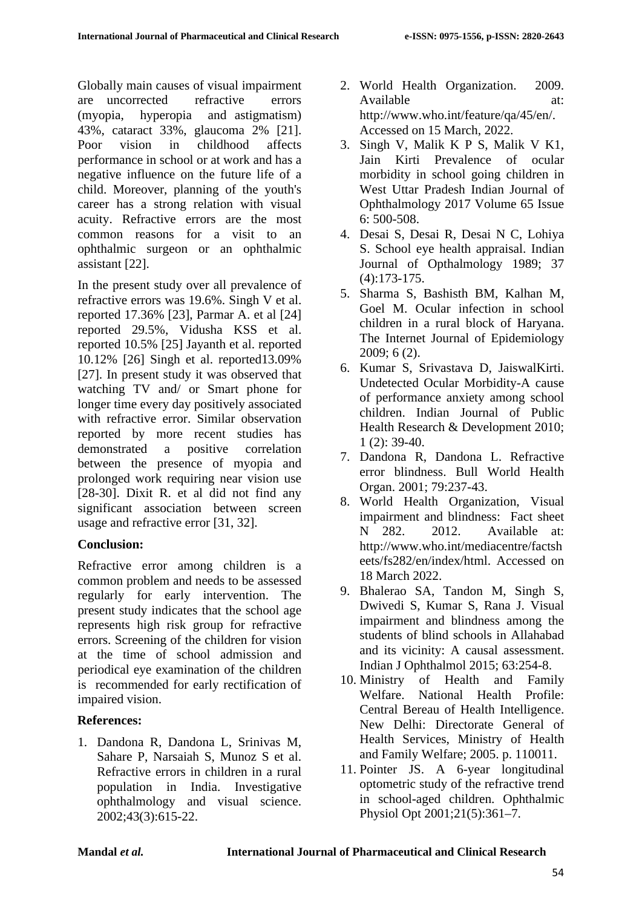Globally main causes of visual impairment are uncorrected refractive errors (myopia, hyperopia and astigmatism) 43%, cataract 33%, glaucoma 2% [21]. Poor vision in childhood affects performance in school or at work and has a negative influence on the future life of a child. Moreover, planning of the youth's career has a strong relation with visual acuity. Refractive errors are the most common reasons for a visit to an ophthalmic surgeon or an ophthalmic assistant [22].

In the present study over all prevalence of refractive errors was 19.6%. Singh V et al. reported 17.36% [23], Parmar A. et al [24] reported 29.5%, Vidusha KSS et al. reported 10.5% [25] Jayanth et al. reported 10.12% [26] Singh et al. reported13.09% [27]. In present study it was observed that watching TV and/ or Smart phone for longer time every day positively associated with refractive error. Similar observation reported by more recent studies has demonstrated a positive correlation between the presence of myopia and prolonged work requiring near vision use [28-30]. Dixit R. et al did not find any significant association between screen usage and refractive error [31, 32].

#### **Conclusion:**

Refractive error among children is a common problem and needs to be assessed regularly for early intervention. The present study indicates that the school age represents high risk group for refractive errors. Screening of the children for vision at the time of school admission and periodical eye examination of the children is recommended for early rectification of impaired vision.

### **References:**

1. Dandona R, Dandona L, Srinivas M, Sahare P, Narsaiah S, Munoz S et al. Refractive errors in children in a rural population in India. Investigative ophthalmology and visual science. 2002;43(3):615-22.

- 2. World Health Organization. 2009. Available at: http://www.who.int/feature/qa/45/en/. Accessed on 15 March, 2022.
- 3. Singh V, Malik K P S, Malik V K1, Jain Kirti Prevalence of ocular morbidity in school going children in West Uttar Pradesh Indian Journal of Ophthalmology 2017 Volume 65 Issue 6: 500-508.
- 4. Desai S, Desai R, Desai N C, Lohiya S. School eye health appraisal. Indian Journal of Opthalmology 1989; 37 (4):173-175.
- 5. Sharma S, Bashisth BM, Kalhan M, Goel M. Ocular infection in school children in a rural block of Haryana. The Internet Journal of Epidemiology 2009; 6 (2).
- 6. Kumar S, Srivastava D, JaiswalKirti. Undetected Ocular Morbidity-A cause of performance anxiety among school children. Indian Journal of Public Health Research & Development 2010; 1 (2): 39-40.
- 7. Dandona R, Dandona L. Refractive error blindness. Bull World Health Organ. 2001; 79:237-43.
- 8. World Health Organization, Visual impairment and blindness: Fact sheet N 282. 2012. Available at: http://www.who.int/mediacentre/factsh eets/fs282/en/index/html. Accessed on 18 March 2022.
- 9. Bhalerao SA, Tandon M, Singh S, Dwivedi S, Kumar S, Rana J. Visual impairment and blindness among the students of blind schools in Allahabad and its vicinity: A causal assessment. Indian J Ophthalmol 2015; 63:254-8.
- 10. Ministry of Health and Family Welfare. National Health Profile: Central Bereau of Health Intelligence. New Delhi: Directorate General of Health Services, Ministry of Health and Family Welfare; 2005. p. 110011.
- 11. Pointer JS. A 6-year longitudinal optometric study of the refractive trend in school-aged children. Ophthalmic Physiol Opt 2001;21(5):361–7.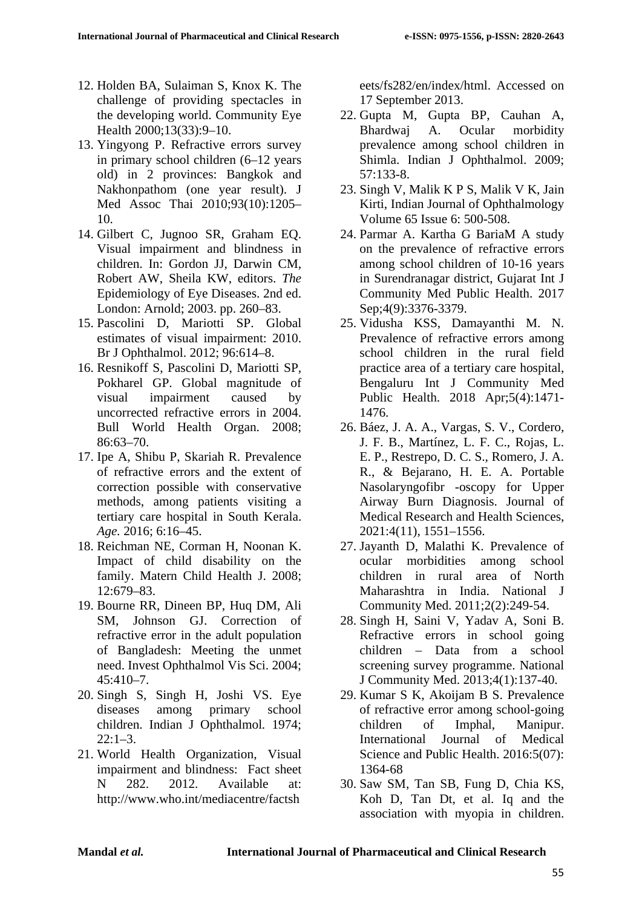- 12. Holden BA, Sulaiman S, Knox K. The challenge of providing spectacles in the developing world. Community Eye Health 2000;13(33):9–10.
- 13. Yingyong P. Refractive errors survey in primary school children (6–12 years old) in 2 provinces: Bangkok and Nakhonpathom (one year result). J Med Assoc Thai 2010;93(10):1205– 10.
- 14. Gilbert C, Jugnoo SR, Graham EQ. Visual impairment and blindness in children. In: Gordon JJ, Darwin CM, Robert AW, Sheila KW, editors. *The*  Epidemiology of Eye Diseases. 2nd ed. London: Arnold; 2003. pp. 260–83.
- 15. Pascolini D, Mariotti SP. Global estimates of visual impairment: 2010. Br J Ophthalmol. 2012; 96:614–8.
- 16. Resnikoff S, Pascolini D, Mariotti SP, Pokharel GP. Global magnitude of visual impairment caused by uncorrected refractive errors in 2004. Bull World Health Organ. 2008; 86:63–70.
- 17. Ipe A, Shibu P, Skariah R. Prevalence of refractive errors and the extent of correction possible with conservative methods, among patients visiting a tertiary care hospital in South Kerala. *Age.* 2016; 6:16–45.
- 18. Reichman NE, Corman H, Noonan K. Impact of child disability on the family. Matern Child Health J. 2008; 12:679–83.
- 19. Bourne RR, Dineen BP, Huq DM, Ali SM, Johnson GJ. Correction of refractive error in the adult population of Bangladesh: Meeting the unmet need. Invest Ophthalmol Vis Sci. 2004; 45:410–7.
- 20. Singh S, Singh H, Joshi VS. Eye diseases among primary school children. Indian J Ophthalmol*.* 1974;  $22:1-3$ .
- 21. World Health Organization, Visual impairment and blindness: Fact sheet N 282. 2012. Available at: http://www.who.int/mediacentre/factsh

eets/fs282/en/index/html. Accessed on 17 September 2013.

- 22. Gupta M, Gupta BP, Cauhan A, Bhardwaj A. Ocular morbidity prevalence among school children in Shimla. Indian J Ophthalmol. 2009; 57:133-8.
- 23. Singh V, Malik K P S, Malik V K, Jain Kirti, Indian Journal of Ophthalmology Volume 65 Issue 6: 500-508.
- 24. Parmar A. Kartha G BariaM A study on the prevalence of refractive errors among school children of 10-16 years in Surendranagar district, Gujarat Int J Community Med Public Health. 2017 Sep;4(9):3376-3379.
- 25. Vidusha KSS, Damayanthi M. N. Prevalence of refractive errors among school children in the rural field practice area of a tertiary care hospital, Bengaluru Int J Community Med Public Health. 2018 Apr;5(4):1471- 1476.
- 26. Báez, J. A. A., Vargas, S. V., Cordero, J. F. B., Martínez, L. F. C., Rojas, L. E. P., Restrepo, D. C. S., Romero, J. A. R., & Bejarano, H. E. A. Portable Nasolaryngofibr -oscopy for Upper Airway Burn Diagnosis. Journal of Medical Research and Health Sciences, 2021:4(11), 1551–1556.
- 27. Jayanth D, Malathi K. Prevalence of ocular morbidities among school children in rural area of North Maharashtra in India. National J Community Med. 2011;2(2):249-54.
- 28. Singh H, Saini V, Yadav A, Soni B. Refractive errors in school going children – Data from a school screening survey programme. National J Community Med. 2013;4(1):137-40.
- 29. Kumar S K, Akoijam B S. Prevalence of refractive error among school-going children of Imphal, Manipur. International Journal of Medical Science and Public Health. 2016:5(07): 1364-68
- 30. Saw SM, Tan SB, Fung D, Chia KS, Koh D, Tan Dt, et al. Iq and the association with myopia in children.